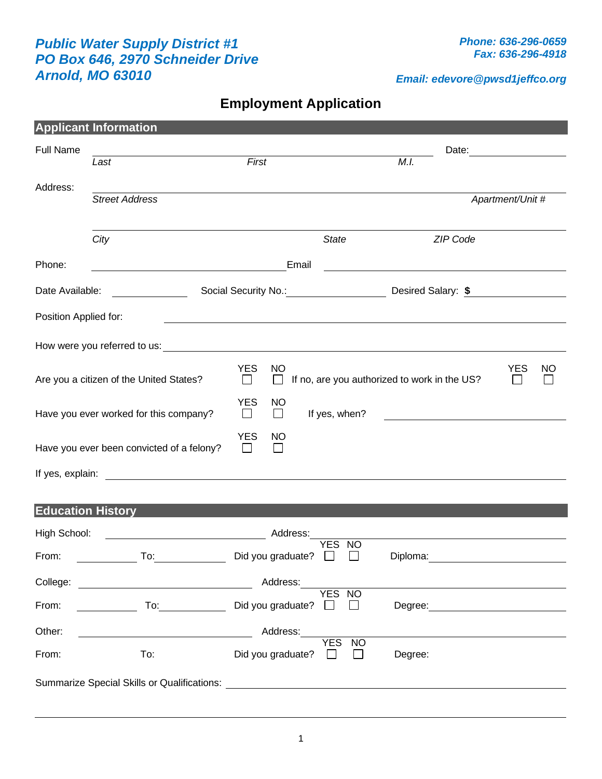## *Public Water Supply District #1 PO Box 646, 2970 Schneider Drive Arnold, MO 63010*

*Email: edevore@pwsd1jeffco.org*

**Employment Application**

|                                                      | <b>Applicant Information</b>                                                                                                                                                                                                   |                                                                  |                     |                         |                                         |                  |  |  |
|------------------------------------------------------|--------------------------------------------------------------------------------------------------------------------------------------------------------------------------------------------------------------------------------|------------------------------------------------------------------|---------------------|-------------------------|-----------------------------------------|------------------|--|--|
| <b>Full Name</b>                                     |                                                                                                                                                                                                                                |                                                                  |                     |                         |                                         |                  |  |  |
|                                                      | Last                                                                                                                                                                                                                           | First                                                            |                     |                         | M.I.                                    |                  |  |  |
| Address:                                             |                                                                                                                                                                                                                                |                                                                  |                     |                         |                                         |                  |  |  |
| <b>Street Address</b>                                |                                                                                                                                                                                                                                |                                                                  |                     |                         |                                         | Apartment/Unit # |  |  |
|                                                      | City                                                                                                                                                                                                                           |                                                                  |                     | <b>State</b>            | ZIP Code                                |                  |  |  |
|                                                      |                                                                                                                                                                                                                                |                                                                  |                     |                         |                                         |                  |  |  |
| Phone:                                               | Email<br><u> 1980 - Andrea Andrew Maria (h. 1980).</u>                                                                                                                                                                         |                                                                  |                     |                         |                                         |                  |  |  |
| Date Available:                                      |                                                                                                                                                                                                                                |                                                                  |                     |                         | Social Security No.: Desired Salary: \$ |                  |  |  |
| Position Applied for:                                |                                                                                                                                                                                                                                |                                                                  |                     |                         |                                         |                  |  |  |
|                                                      |                                                                                                                                                                                                                                |                                                                  |                     |                         |                                         |                  |  |  |
|                                                      |                                                                                                                                                                                                                                | <b>YES</b>                                                       | <b>NO</b>           |                         |                                         | <b>YES</b><br>NO |  |  |
| Are you a citizen of the United States?              |                                                                                                                                                                                                                                | If no, are you authorized to work in the US?<br>$\Box$<br>$\Box$ |                     |                         |                                         |                  |  |  |
|                                                      | Have you ever worked for this company?                                                                                                                                                                                         | <b>YES</b><br>$\Box$                                             | <b>NO</b><br>$\Box$ | If yes, when?           |                                         |                  |  |  |
|                                                      | Have you ever been convicted of a felony?                                                                                                                                                                                      | <b>YES</b><br>$\mathbf{1}$                                       | NO                  |                         |                                         |                  |  |  |
|                                                      |                                                                                                                                                                                                                                |                                                                  |                     |                         |                                         |                  |  |  |
|                                                      |                                                                                                                                                                                                                                |                                                                  |                     |                         |                                         |                  |  |  |
| <b>Education History</b><br>High School:<br>Address: |                                                                                                                                                                                                                                |                                                                  |                     |                         |                                         |                  |  |  |
| From:                                                | To:                                                                                                                                                                                                                            | Did you graduate?                                                |                     | <b>YES</b><br><b>NO</b> | Diploma:                                |                  |  |  |
| College:                                             | Address:                                                                                                                                                                                                                       |                                                                  |                     |                         |                                         |                  |  |  |
| From:                                                | To: the contract of the contract of the contract of the contract of the contract of the contract of the contract of the contract of the contract of the contract of the contract of the contract of the contract of the contra | Did you graduate?                                                |                     | YES NO<br>$\mathbf{I}$  | Degree:                                 |                  |  |  |
| Other:                                               | Address:                                                                                                                                                                                                                       |                                                                  |                     |                         |                                         |                  |  |  |
| From:                                                | To:                                                                                                                                                                                                                            | Did you graduate?                                                |                     | <b>YES</b><br><b>NO</b> | Degree:                                 |                  |  |  |
|                                                      | <b>Summarize Special Skills or Qualifications:</b>                                                                                                                                                                             |                                                                  |                     |                         |                                         |                  |  |  |